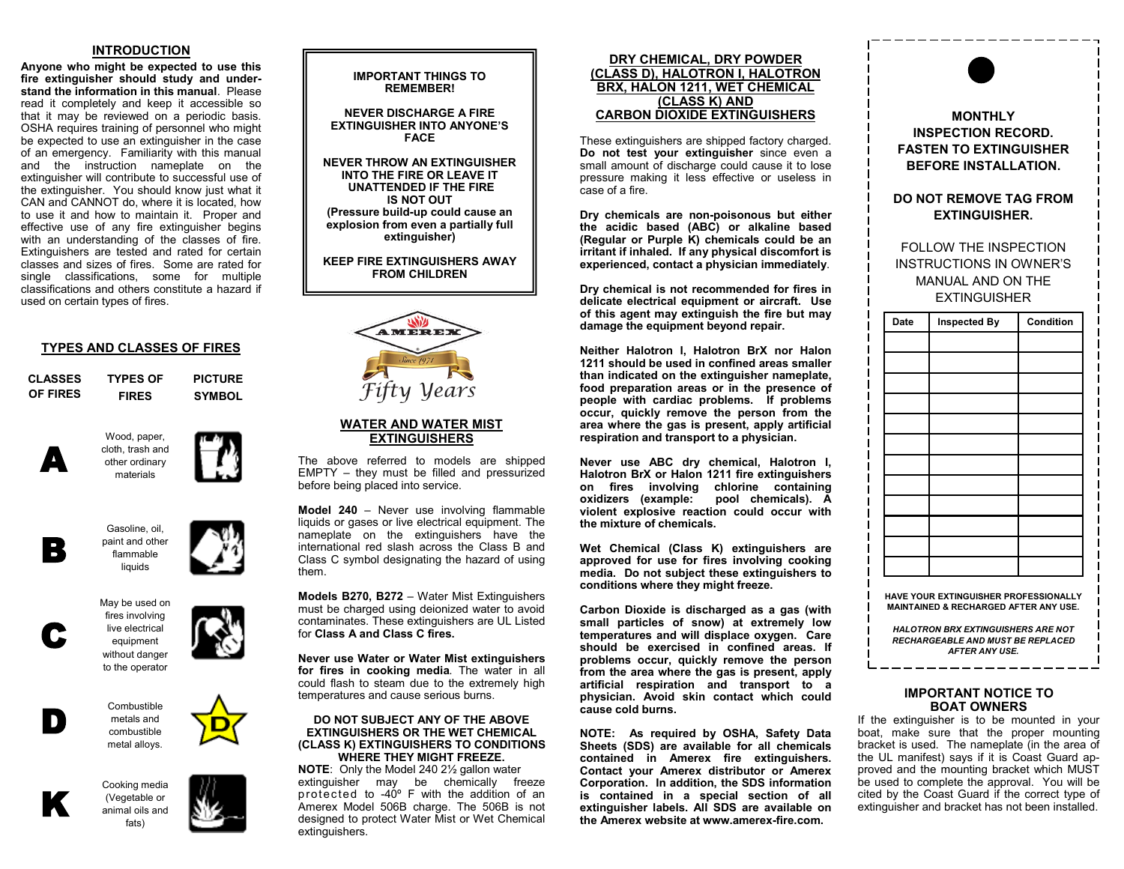# **INTRODUCTION**

**Anyone who might be expected to use this fire extinguisher should study and understand the information in this manual**. Please read it completely and keep it accessible so that it may be reviewed on a periodic basis. OSHA requires training of personnel who might be expected to use an extinguisher in the case of an emergency. Familiarity with this manual and the instruction nameplate on the extinguisher will contribute to successful use of the extinguisher. You should know just what it CAN and CANNOT do, where it is located, how to use it and how to maintain it. Proper and effective use of any fire extinguisher begins with an understanding of the classes of fire. Extinguishers are tested and rated for certain classes and sizes of fires. Some are rated for single classifications, some for multiple classifications and others constitute a hazard if used on certain types of fires.

# **TYPES AND CLASSES OF FIRES**

| <b>CLASSES</b> | <b>TYPES OF</b> | <b>PICTURE</b> |
|----------------|-----------------|----------------|
| OF FIRES       | <b>FIRES</b>    | <b>SYMBOL</b>  |

Wood, paper, cloth, trash and other ordinary materials













Combustible metals and combustible metal alloys.



D

C

A

Cooking media (Vegetable or animal oils and fats)



# **REMEMBER! NEVER DISCHARGE A FIRE**

**EXTINGUISHER INTO ANYONE'S FACE**

**IMPORTANT THINGS TO** 

**NEVER THROW AN EXTINGUISHER INTO THE FIRE OR LEAVE IT UNATTENDED IF THE FIRE IS NOT OUT (Pressure build-up could cause an explosion from even a partially full extinguisher)**

**KEEP FIRE EXTINGUISHERS AWAY FROM CHILDREN**



# **WATER AND WATER MIST EXTINGUISHERS**

The above referred to models are shipped EMPTY – they must be filled and pressurized before being placed into service.

**Model 240** – Never use involving flammable liquids or gases or live electrical equipment. The nameplate on the extinguishers have the international red slash across the Class B and Class C symbol designating the hazard of using them.

**Models B270, B272** – Water Mist Extinguishers must be charged using deionized water to avoid contaminates. These extinguishers are UL Listed for **Class A and Class C fires.**

**Never use Water or Water Mist extinguishers for fires in cooking media**. The water in all could flash to steam due to the extremely high temperatures and cause serious burns.

#### **DO NOT SUBJECT ANY OF THE ABOVE EXTINGUISHERS OR THE WET CHEMICAL (CLASS K) EXTINGUISHERS TO CONDITIONS WHERE THEY MIGHT FREEZE.**

**NOTE**: Only the Model 240 2½ gallon water extinguisher may be chemically freeze protected to  $-40^{\circ}$  F with the addition of an Amerex Model 506B charge. The 506B is not designed to protect Water Mist or Wet Chemical extinguishers.

### **DRY CHEMICAL, DRY POWDER (CLASS D), HALOTRON I, HALOTRON BRX, HALON 1211, WET CHEMICAL (CLASS K) AND CARBON DIOXIDE EXTINGUISHERS**

These extinguishers are shipped factory charged. **Do not test your extinguisher** since even a small amount of discharge could cause it to lose pressure making it less effective or useless in case of a fire.

**Dry chemicals are non-poisonous but either the acidic based (ABC) or alkaline based (Regular or Purple K) chemicals could be an irritant if inhaled. If any physical discomfort is experienced, contact a physician immediately**.

**Dry chemical is not recommended for fires in delicate electrical equipment or aircraft. Use of this agent may extinguish the fire but may damage the equipment beyond repair.**

**Neither Halotron I, Halotron BrX nor Halon 1211 should be used in confined areas smaller than indicated on the extinguisher nameplate, food preparation areas or in the presence of people with cardiac problems. If problems occur, quickly remove the person from the area where the gas is present, apply artificial respiration and transport to a physician.**

**Never use ABC dry chemical, Halotron I, Halotron BrX or Halon 1211 fire extinguishers on fires involving chlorine containing oxidizers (example: pool chemicals). A violent explosive reaction could occur with the mixture of chemicals.**

**Wet Chemical (Class K) extinguishers are approved for use for fires involving cooking media. Do not subject these extinguishers to conditions where they might freeze.**

**Carbon Dioxide is discharged as a gas (with small particles of snow) at extremely low temperatures and will displace oxygen. Care should be exercised in confined areas. If problems occur, quickly remove the person from the area where the gas is present, apply artificial respiration and transport to a physician. Avoid skin contact which could cause cold burns.**

**NOTE: As required by OSHA, Safety Data Sheets (SDS) are available for all chemicals contained in Amerex fire extinguishers. Contact your Amerex distributor or Amerex Corporation. In addition, the SDS information is contained in a special section of all extinguisher labels. All SDS are available on the Amerex website at www.amerex-fire.com.**



**MAINTAINED & RECHARGED AFTER ANY USE.**

*HALOTRON BRX EXTINGUISHERS ARE NOT RECHARGEABLE AND MUST BE REPLACED AFTER ANY USE.* \_\_\_\_\_\_\_\_\_\_\_\_\_\_

# **IMPORTANT NOTICE TO BOAT OWNERS**

If the extinguisher is to be mounted in your boat, make sure that the proper mounting bracket is used. The nameplate (in the area of the UL manifest) says if it is Coast Guard approved and the mounting bracket which MUST be used to complete the approval. You will be cited by the Coast Guard if the correct type of extinguisher and bracket has not been installed.